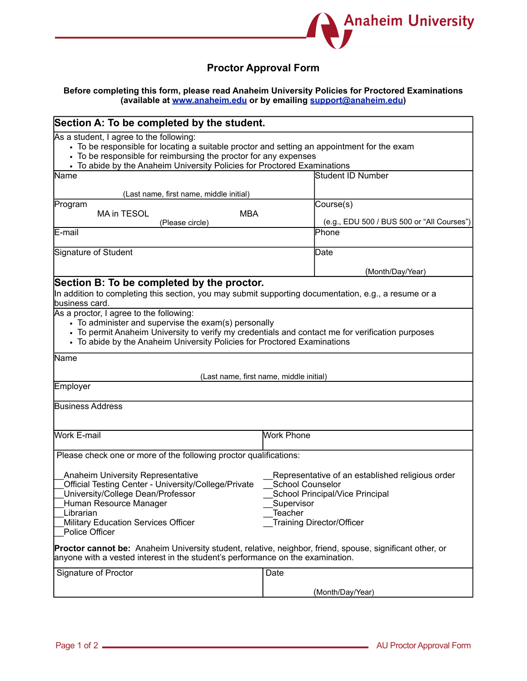

## **Proctor Approval Form**

## **Before completing this form, please read Anaheim University Policies for Proctored Examinations (available at www.anaheim.edu or by emailing support@anaheim.edu)**

| Section A: To be completed by the student.<br>As a student, I agree to the following:<br>• To be responsible for locating a suitable proctor and setting an appointment for the exam<br>• To be responsible for reimbursing the proctor for any expenses<br>• To abide by the Anaheim University Policies for Proctored Examinations                                                                                                |                                                                                                                                                                                    |  |
|-------------------------------------------------------------------------------------------------------------------------------------------------------------------------------------------------------------------------------------------------------------------------------------------------------------------------------------------------------------------------------------------------------------------------------------|------------------------------------------------------------------------------------------------------------------------------------------------------------------------------------|--|
|                                                                                                                                                                                                                                                                                                                                                                                                                                     |                                                                                                                                                                                    |  |
| (Last name, first name, middle initial)                                                                                                                                                                                                                                                                                                                                                                                             |                                                                                                                                                                                    |  |
| Program                                                                                                                                                                                                                                                                                                                                                                                                                             | Course(s)                                                                                                                                                                          |  |
| MA in TESOL<br><b>MBA</b>                                                                                                                                                                                                                                                                                                                                                                                                           |                                                                                                                                                                                    |  |
| (Please circle)<br>E-mail                                                                                                                                                                                                                                                                                                                                                                                                           | (e.g., EDU 500 / BUS 500 or "All Courses")<br>Phone                                                                                                                                |  |
|                                                                                                                                                                                                                                                                                                                                                                                                                                     |                                                                                                                                                                                    |  |
| Signature of Student                                                                                                                                                                                                                                                                                                                                                                                                                | Date                                                                                                                                                                               |  |
|                                                                                                                                                                                                                                                                                                                                                                                                                                     | (Month/Day/Year)                                                                                                                                                                   |  |
| Section B: To be completed by the proctor.                                                                                                                                                                                                                                                                                                                                                                                          |                                                                                                                                                                                    |  |
| In addition to completing this section, you may submit supporting documentation, e.g., a resume or a<br>business card.                                                                                                                                                                                                                                                                                                              |                                                                                                                                                                                    |  |
| As a proctor, I agree to the following:<br>• To administer and supervise the exam(s) personally<br>• To permit Anaheim University to verify my credentials and contact me for verification purposes<br>• To abide by the Anaheim University Policies for Proctored Examinations                                                                                                                                                     |                                                                                                                                                                                    |  |
| Name                                                                                                                                                                                                                                                                                                                                                                                                                                |                                                                                                                                                                                    |  |
| (Last name, first name, middle initial)<br>Employer                                                                                                                                                                                                                                                                                                                                                                                 |                                                                                                                                                                                    |  |
|                                                                                                                                                                                                                                                                                                                                                                                                                                     |                                                                                                                                                                                    |  |
| <b>Business Address</b>                                                                                                                                                                                                                                                                                                                                                                                                             |                                                                                                                                                                                    |  |
| <b>Work E-mail</b>                                                                                                                                                                                                                                                                                                                                                                                                                  | <b>Work Phone</b>                                                                                                                                                                  |  |
| Please check one or more of the following proctor qualifications:                                                                                                                                                                                                                                                                                                                                                                   |                                                                                                                                                                                    |  |
| <b>Anaheim University Representative</b><br>Official Testing Center - University/College/Private<br>University/College Dean/Professor<br>Human Resource Manager<br>Librarian<br>Military Education Services Officer<br>Police Officer<br>Proctor cannot be: Anaheim University student, relative, neighbor, friend, spouse, significant other, or<br>anyone with a vested interest in the student's performance on the examination. | Representative of an established religious order<br><b>School Counselor</b><br>School Principal/Vice Principal<br>Supervisor<br><b>Teacher</b><br><b>Training Director/Officer</b> |  |
| Signature of Proctor                                                                                                                                                                                                                                                                                                                                                                                                                | Date                                                                                                                                                                               |  |
|                                                                                                                                                                                                                                                                                                                                                                                                                                     |                                                                                                                                                                                    |  |
|                                                                                                                                                                                                                                                                                                                                                                                                                                     | (Month/Day/Year)                                                                                                                                                                   |  |